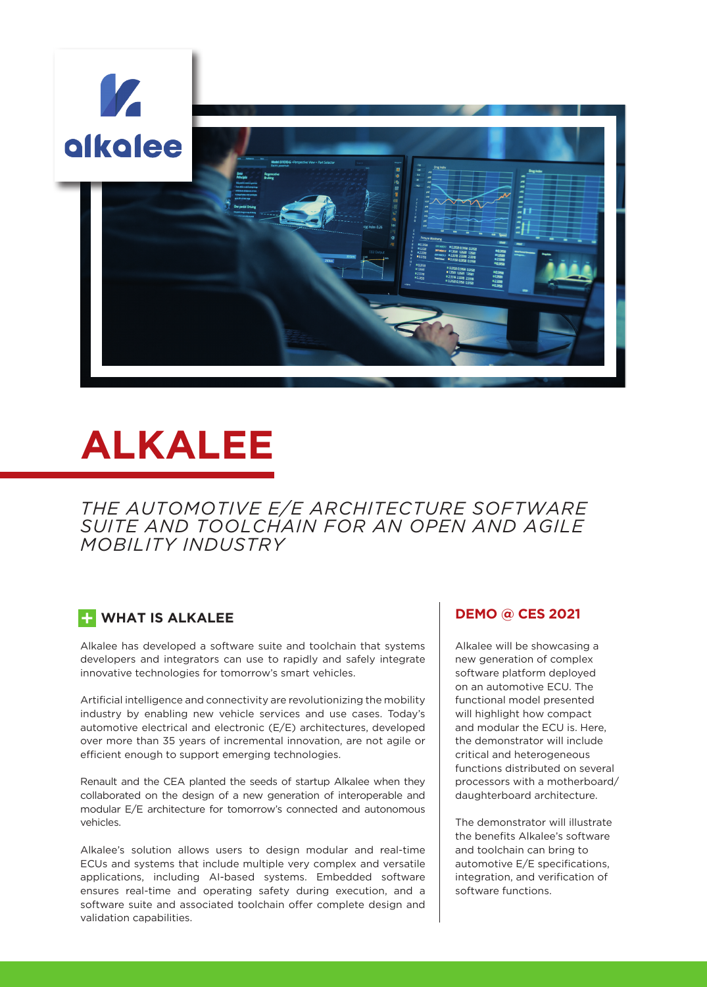

# **ALKALEE**

*THE AUTOMOTIVE E/E ARCHITECTURE SOFTWARE SUITE AND TOOLCHAIN FOR AN OPEN AND AGILE MOBILITY INDUSTRY* 

#### **WHAT IS ALKALEE**

Alkalee has developed a software suite and toolchain that systems developers and integrators can use to rapidly and safely integrate innovative technologies for tomorrow's smart vehicles.

Artificial intelligence and connectivity are revolutionizing the mobility industry by enabling new vehicle services and use cases. Today's automotive electrical and electronic (E/E) architectures, developed over more than 35 years of incremental innovation, are not agile or efficient enough to support emerging technologies.

Renault and the CEA planted the seeds of startup Alkalee when they collaborated on the design of a new generation of interoperable and modular E/E architecture for tomorrow's connected and autonomous vehicles.

Alkalee's solution allows users to design modular and real-time ECUs and systems that include multiple very complex and versatile applications, including AI-based systems. Embedded software ensures real-time and operating safety during execution, and a software suite and associated toolchain offer complete design and validation capabilities.

#### **DEMO @ CES 2021**

Alkalee will be showcasing a new generation of complex software platform deployed on an automotive ECU. The functional model presented will highlight how compact and modular the ECU is. Here, the demonstrator will include critical and heterogeneous functions distributed on several processors with a motherboard/ daughterboard architecture.

The demonstrator will illustrate the benefits Alkalee's software and toolchain can bring to automotive E/E specifications, integration, and verification of software functions.